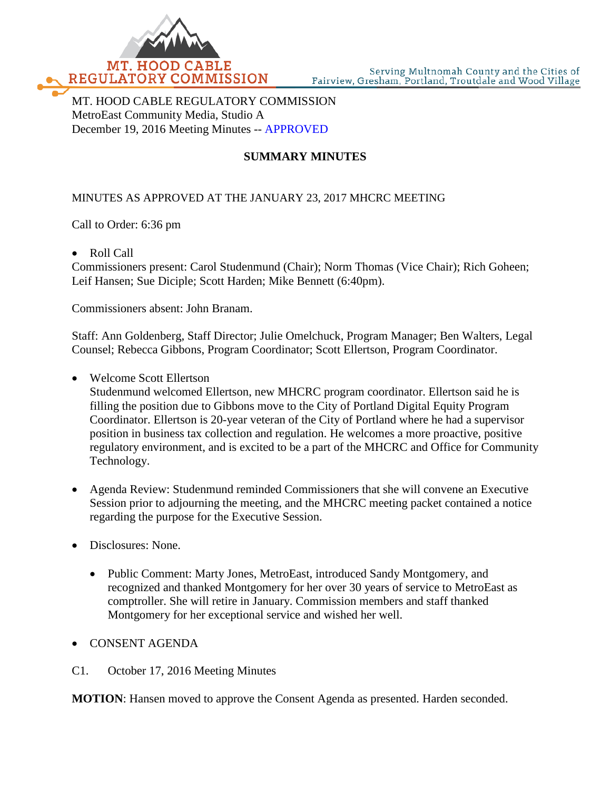

MT. HOOD CABLE REGULATORY COMMISSION MetroEast Community Media, Studio A December 19, 2016 Meeting Minutes -- APPROVED

## **SUMMARY MINUTES**

## MINUTES AS APPROVED AT THE JANUARY 23, 2017 MHCRC MEETING

Call to Order: 6:36 pm

• Roll Call

Commissioners present: Carol Studenmund (Chair); Norm Thomas (Vice Chair); Rich Goheen; Leif Hansen; Sue Diciple; Scott Harden; Mike Bennett (6:40pm).

Commissioners absent: John Branam.

Staff: Ann Goldenberg, Staff Director; Julie Omelchuck, Program Manager; Ben Walters, Legal Counsel; Rebecca Gibbons, Program Coordinator; Scott Ellertson, Program Coordinator.

• Welcome Scott Ellertson

Studenmund welcomed Ellertson, new MHCRC program coordinator. Ellertson said he is filling the position due to Gibbons move to the City of Portland Digital Equity Program Coordinator. Ellertson is 20-year veteran of the City of Portland where he had a supervisor position in business tax collection and regulation. He welcomes a more proactive, positive regulatory environment, and is excited to be a part of the MHCRC and Office for Community Technology.

- Agenda Review: Studenmund reminded Commissioners that she will convene an Executive Session prior to adjourning the meeting, and the MHCRC meeting packet contained a notice regarding the purpose for the Executive Session.
- Disclosures: None.
	- Public Comment: Marty Jones, MetroEast, introduced Sandy Montgomery, and recognized and thanked Montgomery for her over 30 years of service to MetroEast as comptroller. She will retire in January. Commission members and staff thanked Montgomery for her exceptional service and wished her well.
- CONSENT AGENDA
- C1. October 17, 2016 Meeting Minutes

**MOTION**: Hansen moved to approve the Consent Agenda as presented. Harden seconded.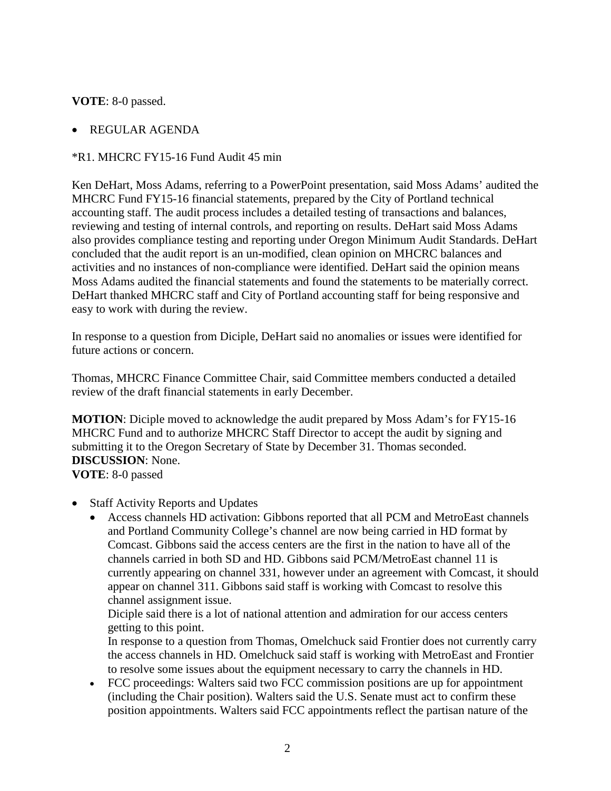**VOTE**: 8-0 passed.

## • REGULAR AGENDA

## \*R1. MHCRC FY15-16 Fund Audit 45 min

Ken DeHart, Moss Adams, referring to a PowerPoint presentation, said Moss Adams' audited the MHCRC Fund FY15-16 financial statements, prepared by the City of Portland technical accounting staff. The audit process includes a detailed testing of transactions and balances, reviewing and testing of internal controls, and reporting on results. DeHart said Moss Adams also provides compliance testing and reporting under Oregon Minimum Audit Standards. DeHart concluded that the audit report is an un-modified, clean opinion on MHCRC balances and activities and no instances of non-compliance were identified. DeHart said the opinion means Moss Adams audited the financial statements and found the statements to be materially correct. DeHart thanked MHCRC staff and City of Portland accounting staff for being responsive and easy to work with during the review.

In response to a question from Diciple, DeHart said no anomalies or issues were identified for future actions or concern.

Thomas, MHCRC Finance Committee Chair, said Committee members conducted a detailed review of the draft financial statements in early December.

**MOTION**: Diciple moved to acknowledge the audit prepared by Moss Adam's for FY15-16 MHCRC Fund and to authorize MHCRC Staff Director to accept the audit by signing and submitting it to the Oregon Secretary of State by December 31. Thomas seconded. **DISCUSSION**: None.

**VOTE**: 8-0 passed

- Staff Activity Reports and Updates
	- Access channels HD activation: Gibbons reported that all PCM and MetroEast channels and Portland Community College's channel are now being carried in HD format by Comcast. Gibbons said the access centers are the first in the nation to have all of the channels carried in both SD and HD. Gibbons said PCM/MetroEast channel 11 is currently appearing on channel 331, however under an agreement with Comcast, it should appear on channel 311. Gibbons said staff is working with Comcast to resolve this channel assignment issue.

Diciple said there is a lot of national attention and admiration for our access centers getting to this point.

In response to a question from Thomas, Omelchuck said Frontier does not currently carry the access channels in HD. Omelchuck said staff is working with MetroEast and Frontier to resolve some issues about the equipment necessary to carry the channels in HD.

• FCC proceedings: Walters said two FCC commission positions are up for appointment (including the Chair position). Walters said the U.S. Senate must act to confirm these position appointments. Walters said FCC appointments reflect the partisan nature of the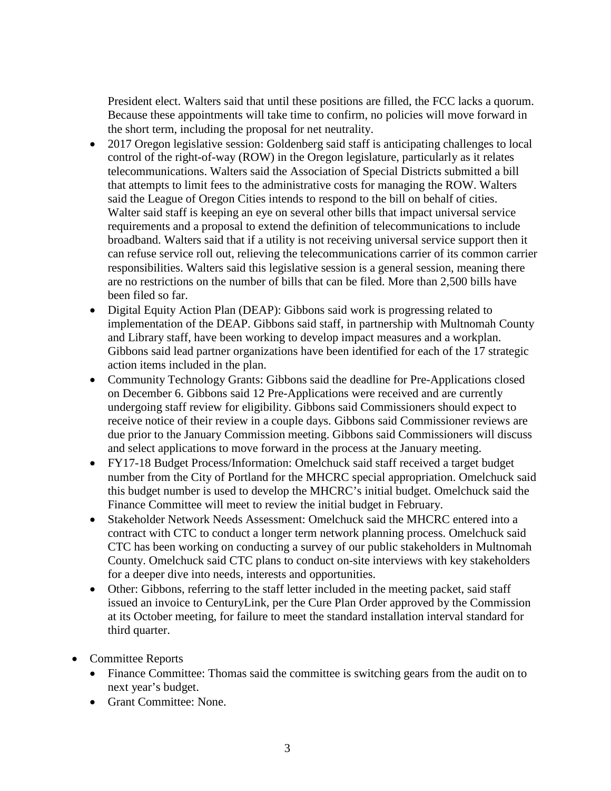President elect. Walters said that until these positions are filled, the FCC lacks a quorum. Because these appointments will take time to confirm, no policies will move forward in the short term, including the proposal for net neutrality.

- 2017 Oregon legislative session: Goldenberg said staff is anticipating challenges to local control of the right-of-way (ROW) in the Oregon legislature, particularly as it relates telecommunications. Walters said the Association of Special Districts submitted a bill that attempts to limit fees to the administrative costs for managing the ROW. Walters said the League of Oregon Cities intends to respond to the bill on behalf of cities. Walter said staff is keeping an eye on several other bills that impact universal service requirements and a proposal to extend the definition of telecommunications to include broadband. Walters said that if a utility is not receiving universal service support then it can refuse service roll out, relieving the telecommunications carrier of its common carrier responsibilities. Walters said this legislative session is a general session, meaning there are no restrictions on the number of bills that can be filed. More than 2,500 bills have been filed so far.
- Digital Equity Action Plan (DEAP): Gibbons said work is progressing related to implementation of the DEAP. Gibbons said staff, in partnership with Multnomah County and Library staff, have been working to develop impact measures and a workplan. Gibbons said lead partner organizations have been identified for each of the 17 strategic action items included in the plan.
- Community Technology Grants: Gibbons said the deadline for Pre-Applications closed on December 6. Gibbons said 12 Pre-Applications were received and are currently undergoing staff review for eligibility. Gibbons said Commissioners should expect to receive notice of their review in a couple days. Gibbons said Commissioner reviews are due prior to the January Commission meeting. Gibbons said Commissioners will discuss and select applications to move forward in the process at the January meeting.
- FY17-18 Budget Process/Information: Omelchuck said staff received a target budget number from the City of Portland for the MHCRC special appropriation. Omelchuck said this budget number is used to develop the MHCRC's initial budget. Omelchuck said the Finance Committee will meet to review the initial budget in February.
- Stakeholder Network Needs Assessment: Omelchuck said the MHCRC entered into a contract with CTC to conduct a longer term network planning process. Omelchuck said CTC has been working on conducting a survey of our public stakeholders in Multnomah County. Omelchuck said CTC plans to conduct on-site interviews with key stakeholders for a deeper dive into needs, interests and opportunities.
- Other: Gibbons, referring to the staff letter included in the meeting packet, said staff issued an invoice to CenturyLink, per the Cure Plan Order approved by the Commission at its October meeting, for failure to meet the standard installation interval standard for third quarter.
- Committee Reports
	- Finance Committee: Thomas said the committee is switching gears from the audit on to next year's budget.
	- Grant Committee: None.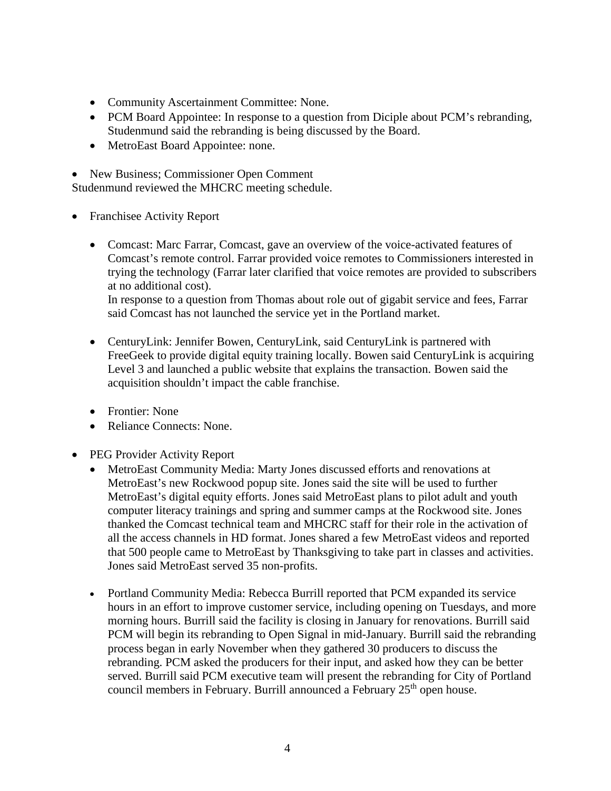- Community Ascertainment Committee: None.
- PCM Board Appointee: In response to a question from Diciple about PCM's rebranding, Studenmund said the rebranding is being discussed by the Board.
- MetroEast Board Appointee: none.

• New Business; Commissioner Open Comment

Studenmund reviewed the MHCRC meeting schedule.

- Franchisee Activity Report
	- Comcast: Marc Farrar, Comcast, gave an overview of the voice-activated features of Comcast's remote control. Farrar provided voice remotes to Commissioners interested in trying the technology (Farrar later clarified that voice remotes are provided to subscribers at no additional cost).

In response to a question from Thomas about role out of gigabit service and fees, Farrar said Comcast has not launched the service yet in the Portland market.

- CenturyLink: Jennifer Bowen, CenturyLink, said CenturyLink is partnered with FreeGeek to provide digital equity training locally. Bowen said CenturyLink is acquiring Level 3 and launched a public website that explains the transaction. Bowen said the acquisition shouldn't impact the cable franchise.
- Frontier: None
- Reliance Connects: None.
- PEG Provider Activity Report
	- MetroEast Community Media: Marty Jones discussed efforts and renovations at MetroEast's new Rockwood popup site. Jones said the site will be used to further MetroEast's digital equity efforts. Jones said MetroEast plans to pilot adult and youth computer literacy trainings and spring and summer camps at the Rockwood site. Jones thanked the Comcast technical team and MHCRC staff for their role in the activation of all the access channels in HD format. Jones shared a few MetroEast videos and reported that 500 people came to MetroEast by Thanksgiving to take part in classes and activities. Jones said MetroEast served 35 non-profits.
	- Portland Community Media: Rebecca Burrill reported that PCM expanded its service hours in an effort to improve customer service, including opening on Tuesdays, and more morning hours. Burrill said the facility is closing in January for renovations. Burrill said PCM will begin its rebranding to Open Signal in mid-January. Burrill said the rebranding process began in early November when they gathered 30 producers to discuss the rebranding. PCM asked the producers for their input, and asked how they can be better served. Burrill said PCM executive team will present the rebranding for City of Portland council members in February. Burrill announced a February  $25<sup>th</sup>$  open house.